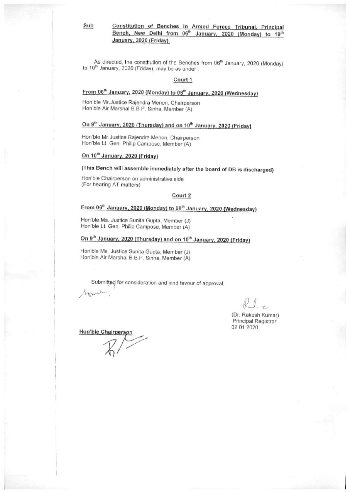Sub:

# Constitution of Benches in Armed Forces Tribunal, Principal<br>Bench, New Delhi from 06<sup>th</sup> January, 2020 (Monday) to 10<sup>th</sup> January, 2020 (Friday).

As directed, the constitution of the Benches from 06<sup>th</sup> January, 2020 (Monday) to 10<sup>th</sup> January, 2020 (Friday), may be as under:

#### Court 1

# From 06<sup>th</sup> January, 2020 (Monday) to 08<sup>th</sup> January, 2020 (Wednesday)

Hon'ble Mr. Justice Rajendra Menon, Chairperson Hon'ble Air Marshal B.B.P. Sinha, Member (A)

## On 9<sup>th</sup> January, 2020 (Thursday) and on 10<sup>th</sup> January, 2020 (Friday)

Hon'ble Mr. Justice Rajendra Menon, Chairperson Hon'ble Lt. Gen. Philip Campose, Member (A)

#### On 10<sup>th</sup> January, 2020 (Friday)

## (This Bench will assemble immediately after the board of DB is discharged)

Hon'ble Chairperson on administrative side (For hearing AT matters)

#### Court 2

## From 06<sup>th</sup> January, 2020 (Monday) to 08<sup>th</sup> January, 2020 (Wednesday)

Hon'ble Ms. Justice Sunita Gupta, Member (J) Hon'ble Lt. Gen. Philip Campose, Member (A)

## On 9<sup>th</sup> January, 2020 (Thursday) and on 10<sup>th</sup> January, 2020 (Friday)

Hon'ble Ms. Justice Sunita Gupta, Member (J) Hon'ble Air Marshal B.B.P. Sinha, Member (A)

Submitted for consideration and kind favour of approval.

(Dr. Rakesh Kumar) Principal Registrar 02.01.2020

Hon'ble Chairperson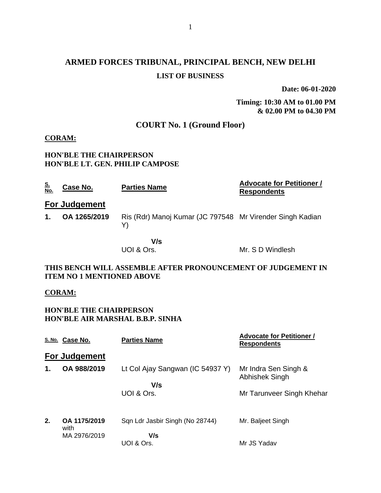# **ARMED FORCES TRIBUNAL, PRINCIPAL BENCH, NEW DELHI LIST OF BUSINESS**

**Date: 06-01-2020**

**Timing: 10:30 AM to 01.00 PM & 02.00 PM to 04.30 PM**

## **COURT No. 1 (Ground Floor)**

### **CORAM:**

#### **HON'BLE THE CHAIRPERSON HON'BLE LT. GEN. PHILIP CAMPOSE**

| <u>S.</u><br>No.                                                                                 | Case No.             | <b>Parties Name</b>                                             | <b>Advocate for Petitioner /</b><br><b>Respondents</b> |
|--------------------------------------------------------------------------------------------------|----------------------|-----------------------------------------------------------------|--------------------------------------------------------|
|                                                                                                  | <b>For Judgement</b> |                                                                 |                                                        |
| 1.                                                                                               | OA 1265/2019         | Ris (Rdr) Manoj Kumar (JC 797548 Mr Virender Singh Kadian<br>Y) |                                                        |
|                                                                                                  |                      | V/s<br>UOI & Ors.                                               | Mr. S D Windlesh                                       |
| THIS BENCH WILL ASSEMBLE AFTER PRONOUNCEMENT OF JUDGEMENT IN<br><b>ITEM NO 1 MENTIONED ABOVE</b> |                      |                                                                 |                                                        |

#### **CORAM:**

### **HON'BLE THE CHAIRPERSON HON'BLE AIR MARSHAL B.B.P. SINHA**

|    | S. No. Case No.      | <b>Parties Name</b>              | <b>Advocate for Petitioner /</b><br><b>Respondents</b> |
|----|----------------------|----------------------------------|--------------------------------------------------------|
|    | For Judgement        |                                  |                                                        |
| 1. | OA 988/2019          | Lt Col Ajay Sangwan (IC 54937 Y) | Mr Indra Sen Singh &<br>Abhishek Singh                 |
|    |                      | V/s<br>UOI & Ors.                | Mr Tarunveer Singh Khehar                              |
| 2. | OA 1175/2019<br>with | Sqn Ldr Jasbir Singh (No 28744)  | Mr. Baljeet Singh                                      |
|    | MA 2976/2019         | V/s<br>UOI & Ors.                | Mr JS Yadav                                            |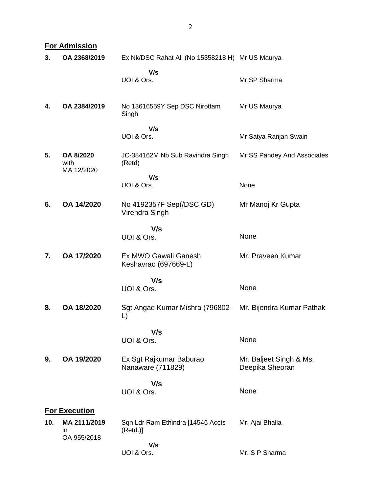|     | <b>For Admission</b>                 |                                                  |                                            |  |  |
|-----|--------------------------------------|--------------------------------------------------|--------------------------------------------|--|--|
| 3.  | OA 2368/2019                         | Ex Nk/DSC Rahat Ali (No 15358218 H) Mr US Maurya |                                            |  |  |
|     |                                      | V/s                                              |                                            |  |  |
|     |                                      | UOI & Ors.                                       | Mr SP Sharma                               |  |  |
|     |                                      |                                                  |                                            |  |  |
| 4.  | OA 2384/2019                         | No 13616559Y Sep DSC Nirottam                    | Mr US Maurya                               |  |  |
|     |                                      | Singh                                            |                                            |  |  |
|     |                                      | V/s<br>UOI & Ors.                                | Mr Satya Ranjan Swain                      |  |  |
|     |                                      |                                                  |                                            |  |  |
| 5.  | OA 8/2020<br>with                    | JC-384162M Nb Sub Ravindra Singh<br>(Retd)       | Mr SS Pandey And Associates                |  |  |
|     | MA 12/2020                           |                                                  |                                            |  |  |
|     |                                      | V/s<br>UOI & Ors.                                | None                                       |  |  |
|     |                                      |                                                  |                                            |  |  |
| 6.  | OA 14/2020                           | No 4192357F Sep(/DSC GD)<br>Virendra Singh       | Mr Manoj Kr Gupta                          |  |  |
|     |                                      |                                                  |                                            |  |  |
|     |                                      | V/s<br>UOI & Ors.                                | None                                       |  |  |
|     |                                      |                                                  |                                            |  |  |
| 7.  | OA 17/2020                           | Ex MWO Gawali Ganesh<br>Keshavrao (697669-L)     | Mr. Praveen Kumar                          |  |  |
|     |                                      | V/s                                              |                                            |  |  |
|     |                                      | UOI & Ors.                                       | None                                       |  |  |
|     |                                      |                                                  |                                            |  |  |
| 8.  | OA 18/2020                           | Sgt Angad Kumar Mishra (796802-<br>L)            | Mr. Bijendra Kumar Pathak                  |  |  |
|     |                                      | V/s                                              |                                            |  |  |
|     |                                      | UOI & Ors.                                       | None                                       |  |  |
|     |                                      |                                                  |                                            |  |  |
| 9.  | OA 19/2020                           | Ex Sgt Rajkumar Baburao<br>Nanaware (711829)     | Mr. Baljeet Singh & Ms.<br>Deepika Sheoran |  |  |
|     |                                      | V/s                                              |                                            |  |  |
|     |                                      | UOI & Ors.                                       | None                                       |  |  |
|     |                                      |                                                  |                                            |  |  |
| 10. | <b>For Execution</b><br>MA 2111/2019 |                                                  |                                            |  |  |
|     | in                                   | Sqn Ldr Ram Ethindra [14546 Accts<br>(Retd.)     | Mr. Ajai Bhalla                            |  |  |
|     | OA 955/2018                          | V/s                                              |                                            |  |  |
|     |                                      | UOI & Ors.                                       | Mr. S P Sharma                             |  |  |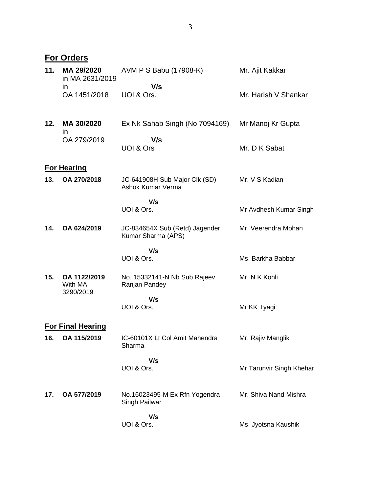|     | <b>For Orders</b>                    |                                                      |                          |
|-----|--------------------------------------|------------------------------------------------------|--------------------------|
| 11. | MA 29/2020<br>in MA 2631/2019        | AVM P S Babu (17908-K)                               | Mr. Ajit Kakkar          |
|     | <i>in</i><br>OA 1451/2018            | V/s<br>UOI & Ors.                                    | Mr. Harish V Shankar     |
| 12. | MA 30/2020<br><i>in</i>              | Ex Nk Sahab Singh (No 7094169)                       | Mr Manoj Kr Gupta        |
|     | OA 279/2019                          | V/s<br>UOI & Ors                                     | Mr. D K Sabat            |
|     | <b>For Hearing</b>                   |                                                      |                          |
| 13. | OA 270/2018                          | JC-641908H Sub Major Clk (SD)<br>Ashok Kumar Verma   | Mr. V S Kadian           |
|     |                                      | V/s<br>UOI & Ors.                                    | Mr Avdhesh Kumar Singh   |
| 14. | OA 624/2019                          | JC-834654X Sub (Retd) Jagender<br>Kumar Sharma (APS) | Mr. Veerendra Mohan      |
|     |                                      | V/s<br>UOI & Ors.                                    | Ms. Barkha Babbar        |
| 15. | OA 1122/2019<br>With MA<br>3290/2019 | No. 15332141-N Nb Sub Rajeev<br>Ranjan Pandey        | Mr. N K Kohli            |
|     |                                      | V/s<br>UOI & Ors.                                    | Mr KK Tyagi              |
|     | <b>For Final Hearing</b>             |                                                      |                          |
| 16. | OA 115/2019                          | IC-60101X Lt Col Amit Mahendra<br>Sharma             | Mr. Rajiv Manglik        |
|     |                                      | V/s<br>UOI & Ors.                                    | Mr Tarunvir Singh Khehar |
| 17. | OA 577/2019                          | No.16023495-M Ex Rfn Yogendra<br>Singh Pailwar       | Mr. Shiva Nand Mishra    |
|     |                                      | V/s<br>UOI & Ors.                                    | Ms. Jyotsna Kaushik      |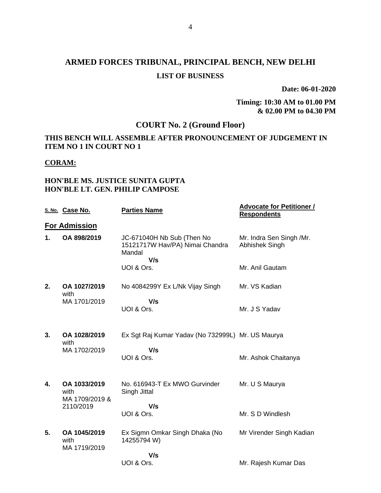# **ARMED FORCES TRIBUNAL, PRINCIPAL BENCH, NEW DELHI LIST OF BUSINESS**

**Date: 06-01-2020**

**Timing: 10:30 AM to 01.00 PM & 02.00 PM to 04.30 PM**

## **COURT No. 2 (Ground Floor)**

### **THIS BENCH WILL ASSEMBLE AFTER PRONOUNCEMENT OF JUDGEMENT IN ITEM NO 1 IN COURT NO 1**

#### **CORAM:**

#### **HON'BLE MS. JUSTICE SUNITA GUPTA HON'BLE LT. GEN. PHILIP CAMPOSE**

|    | S. No. Case No.                        | <b>Parties Name</b>                                                            | <b>Advocate for Petitioner /</b><br><b>Respondents</b> |
|----|----------------------------------------|--------------------------------------------------------------------------------|--------------------------------------------------------|
|    | <b>For Admission</b>                   |                                                                                |                                                        |
| 1. | OA 898/2019                            | JC-671040H Nb Sub (Then No<br>15121717W Hav/PA) Nimai Chandra<br>Mandal<br>V/s | Mr. Indra Sen Singh /Mr.<br>Abhishek Singh             |
|    |                                        | UOI & Ors.                                                                     | Mr. Anil Gautam                                        |
| 2. | OA 1027/2019<br>with                   | No 4084299Y Ex L/Nk Vijay Singh                                                | Mr. VS Kadian                                          |
|    | MA 1701/2019                           | V/s<br>UOI & Ors.                                                              | Mr. J S Yadav                                          |
| 3. | OA 1028/2019<br>with                   | Ex Sgt Raj Kumar Yadav (No 732999L) Mr. US Maurya                              |                                                        |
|    | MA 1702/2019                           | V/s<br>UOI & Ors.                                                              | Mr. Ashok Chaitanya                                    |
| 4. | OA 1033/2019<br>with<br>MA 1709/2019 & | No. 616943-T Ex MWO Gurvinder<br>Singh Jittal                                  | Mr. U S Maurya                                         |
|    | 2110/2019                              | V/s<br>UOI & Ors.                                                              | Mr. S D Windlesh                                       |
| 5. | OA 1045/2019<br>with                   | Ex Sigmn Omkar Singh Dhaka (No<br>14255794 W)                                  | Mr Virender Singh Kadian                               |
|    | MA 1719/2019                           | V/s<br>UOI & Ors.                                                              | Mr. Rajesh Kumar Das                                   |
|    |                                        |                                                                                |                                                        |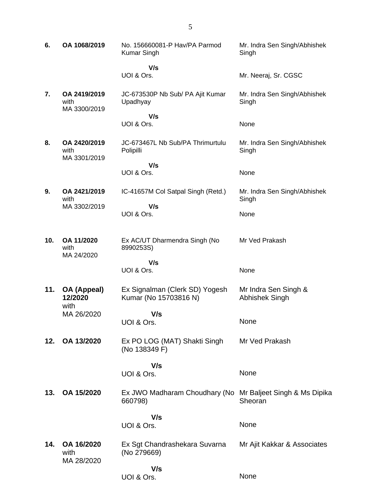| 6.  | OA 1068/2019                         | No. 156660081-P Hav/PA Parmod<br><b>Kumar Singh</b>                   | Mr. Indra Sen Singh/Abhishek<br>Singh  |
|-----|--------------------------------------|-----------------------------------------------------------------------|----------------------------------------|
|     |                                      | V/s<br>UOI & Ors.                                                     | Mr. Neeraj, Sr. CGSC                   |
| 7.  | OA 2419/2019<br>with<br>MA 3300/2019 | JC-673530P Nb Sub/ PA Ajit Kumar<br>Upadhyay                          | Mr. Indra Sen Singh/Abhishek<br>Singh  |
|     |                                      | V/s<br>UOI & Ors.                                                     | None                                   |
| 8.  | OA 2420/2019<br>with<br>MA 3301/2019 | JC-673467L Nb Sub/PA Thrimurtulu<br>Polipilli                         | Mr. Indra Sen Singh/Abhishek<br>Singh  |
|     |                                      | V/s<br>UOI & Ors.                                                     | None                                   |
| 9.  | OA 2421/2019<br>with                 | IC-41657M Col Satpal Singh (Retd.)                                    | Mr. Indra Sen Singh/Abhishek<br>Singh  |
|     | MA 3302/2019                         | V/s<br>UOI & Ors.                                                     | None                                   |
| 10. | OA 11/2020<br>with<br>MA 24/2020     | Ex AC/UT Dharmendra Singh (No<br>8990253S)                            | Mr Ved Prakash                         |
|     |                                      | V/s<br>UOI & Ors.                                                     | None                                   |
| 11. | <b>OA (Appeal)</b><br>12/2020        | Ex Signalman (Clerk SD) Yogesh<br>Kumar (No 15703816 N)               | Mr Indra Sen Singh &<br>Abhishek Singh |
|     | with<br>MA 26/2020                   | V/s<br>UOI & Ors.                                                     | None                                   |
| 12. | OA 13/2020                           | Ex PO LOG (MAT) Shakti Singh<br>(No 138349 F)                         | Mr Ved Prakash                         |
|     |                                      | V/s<br>UOI & Ors.                                                     | None                                   |
| 13. | OA 15/2020                           | Ex JWO Madharam Choudhary (No Mr Baljeet Singh & Ms Dipika<br>660798) | Sheoran                                |
|     |                                      | V/s<br>UOI & Ors.                                                     | None                                   |
| 14. | OA 16/2020<br>with                   | Ex Sgt Chandrashekara Suvarna<br>(No 279669)                          | Mr Ajit Kakkar & Associates            |
|     | MA 28/2020                           | V/s<br>UOI & Ors.                                                     | None                                   |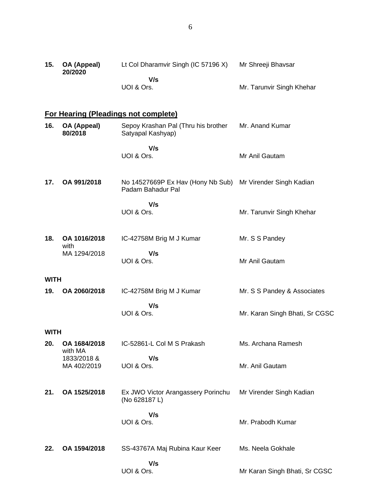| 15.         | OA (Appeal)<br>20/2020     | Lt Col Dharamvir Singh (IC 57196 X)                      | Mr Shreeji Bhavsar             |
|-------------|----------------------------|----------------------------------------------------------|--------------------------------|
|             |                            | V/s<br>UOI & Ors.                                        | Mr. Tarunvir Singh Khehar      |
|             |                            | <b>For Hearing (Pleadings not complete)</b>              |                                |
| 16.         | OA (Appeal)<br>80/2018     | Sepoy Krashan Pal (Thru his brother<br>Satyapal Kashyap) | Mr. Anand Kumar                |
|             |                            | V/s<br>UOI & Ors.                                        | Mr Anil Gautam                 |
| 17.         | OA 991/2018                | No 14527669P Ex Hav (Hony Nb Sub)<br>Padam Bahadur Pal   | Mr Virender Singh Kadian       |
|             |                            | V/s<br>UOI & Ors.                                        | Mr. Tarunvir Singh Khehar      |
| 18.         | OA 1016/2018<br>with       | IC-42758M Brig M J Kumar                                 | Mr. S S Pandey                 |
|             | MA 1294/2018               | V/s<br>UOI & Ors.                                        | Mr Anil Gautam                 |
| <b>WITH</b> |                            |                                                          |                                |
| 19.         | OA 2060/2018               | IC-42758M Brig M J Kumar                                 | Mr. S S Pandey & Associates    |
|             |                            | V/s<br>UOI & Ors.                                        | Mr. Karan Singh Bhati, Sr CGSC |
| <b>WITH</b> |                            |                                                          |                                |
| 20.         | OA 1684/2018<br>with MA    | IC-52861-L Col M S Prakash                               | Ms. Archana Ramesh             |
|             | 1833/2018 &<br>MA 402/2019 | V/s<br>UOI & Ors.                                        | Mr. Anil Gautam                |
| 21.         | OA 1525/2018               | Ex JWO Victor Arangassery Porinchu<br>(No 628187L)       | Mr Virender Singh Kadian       |
|             |                            | V/s<br>UOI & Ors.                                        | Mr. Prabodh Kumar              |
| 22.         | OA 1594/2018               | SS-43767A Maj Rubina Kaur Keer                           | Ms. Neela Gokhale              |
|             |                            | V/s<br>UOI & Ors.                                        | Mr Karan Singh Bhati, Sr CGSC  |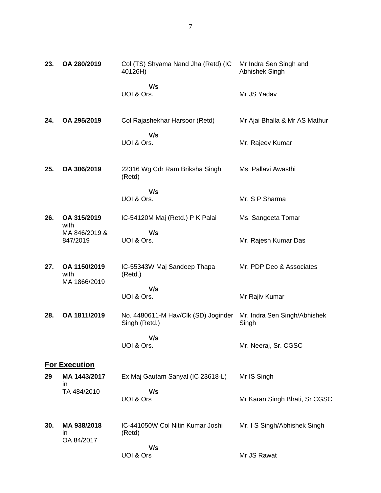| 23. | OA 280/2019                          | Col (TS) Shyama Nand Jha (Retd) (IC<br>40126H)       | Mr Indra Sen Singh and<br>Abhishek Singh |
|-----|--------------------------------------|------------------------------------------------------|------------------------------------------|
|     |                                      | V/s<br>UOI & Ors.                                    | Mr JS Yadav                              |
| 24. | OA 295/2019                          | Col Rajashekhar Harsoor (Retd)                       | Mr Ajai Bhalla & Mr AS Mathur            |
|     |                                      | V/s<br>UOI & Ors.                                    | Mr. Rajeev Kumar                         |
| 25. | OA 306/2019                          | 22316 Wg Cdr Ram Briksha Singh<br>(Retd)             | Ms. Pallavi Awasthi                      |
|     |                                      | V/s<br>UOI & Ors.                                    | Mr. S P Sharma                           |
| 26. | OA 315/2019<br>with                  | IC-54120M Maj (Retd.) P K Palai                      | Ms. Sangeeta Tomar                       |
|     | MA 846/2019 &<br>847/2019            | V/s<br>UOI & Ors.                                    | Mr. Rajesh Kumar Das                     |
| 27. | OA 1150/2019<br>with<br>MA 1866/2019 | IC-55343W Maj Sandeep Thapa<br>(Retd.)               | Mr. PDP Deo & Associates                 |
|     |                                      | V/s<br>UOI & Ors.                                    | Mr Rajiv Kumar                           |
| 28. | OA 1811/2019                         | No. 4480611-M Hav/Clk (SD) Joginder<br>Singh (Retd.) | Mr. Indra Sen Singh/Abhishek<br>Singh    |
|     |                                      | V/s<br>UOI & Ors.                                    | Mr. Neeraj, Sr. CGSC                     |
|     | <b>For Execution</b>                 |                                                      |                                          |
| 29  | MA 1443/2017<br>ın                   | Ex Maj Gautam Sanyal (IC 23618-L)                    | Mr IS Singh                              |
|     | TA 484/2010                          | V/s<br>UOI & Ors                                     | Mr Karan Singh Bhati, Sr CGSC            |
| 30. | MA 938/2018<br>ın<br>OA 84/2017      | IC-441050W Col Nitin Kumar Joshi<br>(Retd)           | Mr. I S Singh/Abhishek Singh             |
|     |                                      | V/s<br>UOI & Ors                                     | Mr JS Rawat                              |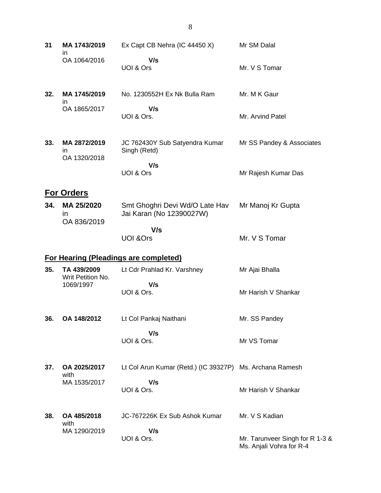| 31  | MA 1743/2019<br>in.                | Ex Capt CB Nehra (IC 44450 X)                              | Mr SM Dalal                                                 |
|-----|------------------------------------|------------------------------------------------------------|-------------------------------------------------------------|
|     | OA 1064/2016                       | V/s<br>UOI & Ors                                           | Mr. V S Tomar                                               |
| 32. | MA 1745/2019<br>in.                | No. 1230552H Ex Nk Bulla Ram                               | Mr. M K Gaur                                                |
|     | OA 1865/2017                       | V/s<br>UOI & Ors.                                          | Mr. Arvind Patel                                            |
| 33. | MA 2872/2019<br>ın<br>OA 1320/2018 | JC 762430Y Sub Satyendra Kumar<br>Singh (Retd)             | Mr SS Pandey & Associates                                   |
|     |                                    | V/s<br>UOI & Ors                                           | Mr Rajesh Kumar Das                                         |
|     | <b>For Orders</b>                  |                                                            |                                                             |
| 34. | MA 25/2020<br>in<br>OA 836/2019    | Smt Ghoghri Devi Wd/O Late Hav<br>Jai Karan (No 12390027W) | Mr Manoj Kr Gupta                                           |
|     |                                    | V/s<br><b>UOI &amp;Ors</b>                                 | Mr. V S Tomar                                               |
|     |                                    | <b>For Hearing (Pleadings are completed)</b>               |                                                             |
| 35. | TA 439/2009<br>Writ Petition No.   | Lt Cdr Prahlad Kr. Varshney                                | Mr Ajai Bhalla                                              |
|     | 1069/1997                          | V/s<br>UOI & Ors.                                          | Mr Harish V Shankar                                         |
| 36. | OA 148/2012                        | Lt Col Pankaj Naithani                                     | Mr. SS Pandey                                               |
|     |                                    | V/s<br>UOI & Ors.                                          | Mr VS Tomar                                                 |
| 37. | OA 2025/2017<br>with               | Lt Col Arun Kumar (Retd.) (IC 39327P) Ms. Archana Ramesh   |                                                             |
|     | MA 1535/2017                       | V/s<br>UOI & Ors.                                          | Mr Harish V Shankar                                         |
| 38. | OA 485/2018<br>with                | JC-767226K Ex Sub Ashok Kumar                              | Mr. V S Kadian                                              |
|     | MA 1290/2019                       | V/s<br>UOI & Ors.                                          | Mr. Tarunveer Singh for R 1-3 &<br>Ms. Anjali Vohra for R-4 |